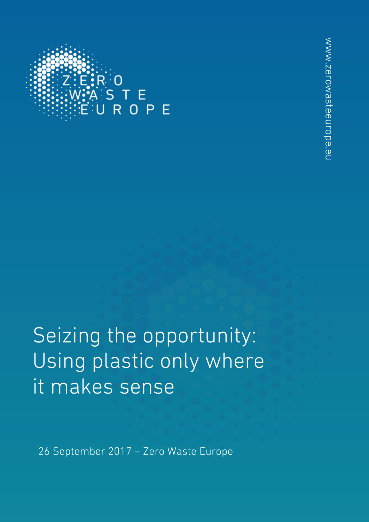

Seizing the opportunity: Using plastic only where it makes sense

26 September 2017 – Zero Waste Europe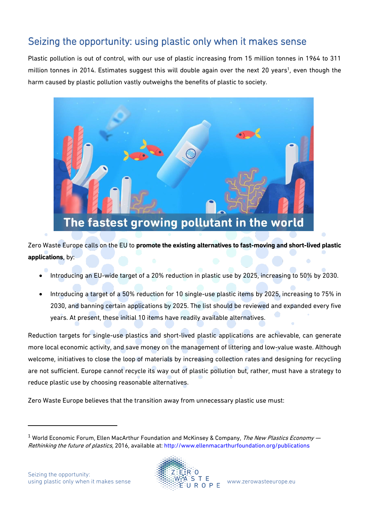# Seizing the opportunity: using plastic only when it makes sense

Plastic pollution is out of control, with our use of plastic increasing from 15 million tonnes in 1964 to 311 million tonnes in 2014. Estimates suggest this will double again over the next 20 years<sup>1</sup>, even though the harm caused by plastic pollution vastly outweighs the benefits of plastic to society.



Zero Waste Europe calls on the EU to **promote the existing alternatives to fast-moving and short-lived plastic applications**, by:

- Introducing an EU-wide target of a 20% reduction in plastic use by 2025, increasing to 50% by 2030.
- Introducing a target of a 50% reduction for 10 single-use plastic items by 2025, increasing to 75% in 2030, and banning certain applications by 2025. The list should be reviewed and expanded every five years. At present, these initial 10 items have readily available alternatives.

Reduction targets for single-use plastics and short-lived plastic applications are achievable, can generate more local economic activity, and save money on the management of littering and low-value waste. Although welcome, initiatives to close the loop of materials by increasing collection rates and designing for recycling are not sufficient. Europe cannot recycle its way out of plastic pollution but, rather, must have a strategy to reduce plastic use by choosing reasonable alternatives.

Zero Waste Europe believes that the transition away from unnecessary plastic use must:

 $\overline{a}$ 



<sup>&</sup>lt;sup>1</sup> World Economic Forum, Ellen MacArthur Foundation and McKinsey & Company, The New Plastics Economy  $$ Rethinking the future of plastics, 2016, available at: <http://www.ellenmacarthurfoundation.org/publications>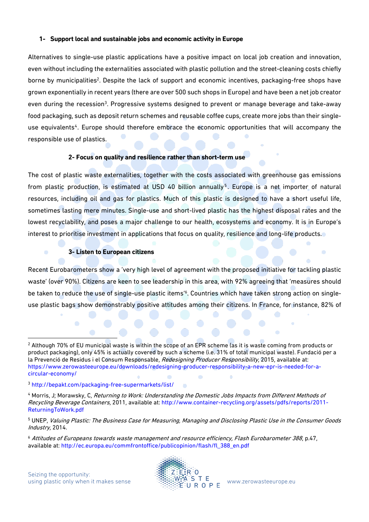### **1- Support local and sustainable jobs and economic activity in Europe**

Alternatives to single-use plastic applications have a positive impact on local job creation and innovation, even without including the externalities associated with plastic pollution and the street-cleaning costs chiefly borne by municipalities<sup>2</sup>. Despite the lack of support and economic incentives, packaging-free shops have grown exponentially in recent years (there are over 500 such shops in Europe) and have been a net job creator even during the recession<sup>3</sup>. Progressive systems designed to prevent or manage beverage and take-away food packaging, such as deposit return schemes and reusable coffee cups, create more jobs than their singleuse equivalents<sup>4</sup>. Europe should therefore embrace the economic opportunities that will accompany the responsible use of plastics.

# **2- Focus on quality and resilience rather than short-term use**

The cost of plastic waste externalities, together with the costs associated with greenhouse gas emissions from plastic production, is estimated at USD 40 billion annually<sup>5</sup>. Europe is a net importer of natural resources, including oil and gas for plastics. Much of this plastic is designed to have a short useful life, sometimes lasting mere minutes. Single-use and short-lived plastic has the highest disposal rates and the lowest recyclability, and poses a major challenge to our health, ecosystems and economy. It is in Europe's interest to prioritise investment in applications that focus on quality, resilience and long-life products.

### **3- Listen to European citizens**

Recent Eurobarometers show a 'very high level of agreement with the proposed initiative for tackling plastic waste' (over 90%). Citizens are keen to see leadership in this area, with 92% agreeing that 'measures should be taken to reduce the use of single-use plastic items'<sup>6</sup>. Countries which have taken strong action on singleuse plastic bags show demonstrably positive attitudes among their citizens. In France, for instance, 82% of

÷

l



۰

<sup>&</sup>lt;sup>2</sup> Although 70% of EU municipal waste is within the scope of an EPR scheme (as it is waste coming from products or product packaging), only 45% is actually covered by such a scheme (i.e. 31% of total municipal waste). Fundació per a la Prevenció de Residus i el Consum Responsable, Redesigning Producer Responsibility, 2015, available at: https://www.zerowasteeurope.eu/downloads/redesigning-producer-responsibility-a-new-epr-is-needed-for-acircular-economy/

<sup>3</sup> http://bepakt.com/packaging-free-supermarkets/list/

<sup>4</sup> Morris, J; Morawsky, C, Returning to Work: Understanding the Domestic Jobs Impacts from Different Methods of Recycling Beverage Containers, 2011, available at: http://www.container-recycling.org/assets/pdfs/reports/2011- ReturningToWork.pdf

<sup>5</sup> UNEP, Valuing Plastic: The Business Case for Measuring, Managing and Disclosing Plastic Use in the Consumer Goods Industry, 2014.

<sup>6</sup> Attitudes of Europeans towards waste management and resource efficiency, Flash Eurobarometer 388, p.47, available at: http://ec.europa.eu/commfrontoffice/publicopinion/flash/fl\_388\_en.pdf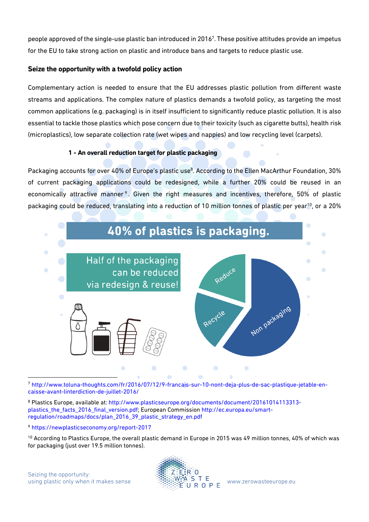people approved of the single-use plastic ban introduced in 2016 $^7$ . These positive attitudes provide an impetus for the EU to take strong action on plastic and introduce bans and targets to reduce plastic use.

# **Seize the opportunity with a twofold policy action**

Complementary action is needed to ensure that the EU addresses plastic pollution from different waste streams and applications. The complex nature of plastics demands a twofold policy, as targeting the most common applications (e.g. packaging) is in itself insufficient to significantly reduce plastic pollution. It is also essential to tackle those plastics which pose concern due to their toxicity (such as cigarette butts), health risk (microplastics), low separate collection rate (wet wipes and nappies) and low recycling level (carpets).

# **1 - An overall reduction target for plastic packaging**

Packaging accounts for over 40% of Europe's plastic use<sup>8</sup>. According to the Ellen MacArthur Foundation, 30% of current packaging applications could be redesigned, while a further 20% could be reused in an economically attractive manner<sup>9</sup>. Given the right measures and incentives, therefore, 50% of plastic packaging could be reduced, translating into a reduction of 10 million tonnes of plastic per year<sup>10</sup>, or a 20%



l <sup>7</sup> http://www.toluna-thoughts.com/fr/2016/07/12/9-francais-sur-10-nont-deja-plus-de-sac-plastique-jetable-encaisse-avant-linterdiction-de-juillet-2016/

<sup>8</sup> Plastics Europe, available at: http://www.plasticseurope.org/documents/document/20161014113313 plastics\_the\_facts\_2016\_final\_version.pdf; European Commission http://ec.europa.eu/smartregulation/roadmaps/docs/plan\_2016\_39\_plastic\_strategy\_en.pdf

<sup>9</sup> https://newplasticseconomy.org/report-2017

<sup>10</sup> According to Plastics Europe, the overall plastic demand in Europe in 2015 was 49 million tonnes, 40% of which was for packaging (just over 19.5 million tonnes).

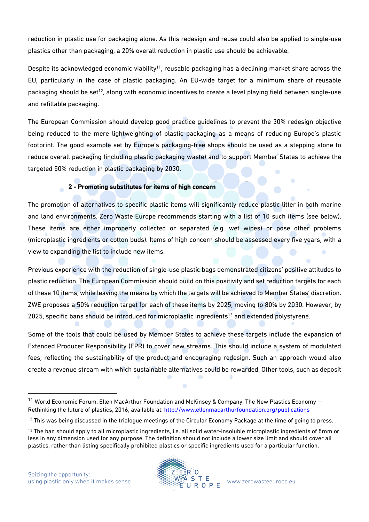reduction in plastic use for packaging alone. As this redesign and reuse could also be applied to single-use plastics other than packaging, a 20% overall reduction in plastic use should be achievable.

Despite its acknowledged economic viability $^{\rm 11}$ , reusable packaging has a declining market share across the EU, particularly in the case of plastic packaging. An EU-wide target for a minimum share of reusable packaging should be set<sup>12</sup>, along with economic incentives to create a level playing field between single-use and refillable packaging.

The European Commission should develop good practice guidelines to prevent the 30% redesign objective being reduced to the mere lightweighting of plastic packaging as a means of reducing Europe's plastic footprint. The good example set by Europe's packaging-free shops should be used as a stepping stone to reduce overall packaging (including plastic packaging waste) and to support Member States to achieve the targeted 50% reduction in plastic packaging by 2030.

# **2 - Promoting substitutes for items of high concern**

The promotion of alternatives to specific plastic items will significantly reduce plastic litter in both marine and land environments. Zero Waste Europe recommends starting with a list of 10 such items (see below). These items are either improperly collected or separated (e.g. wet wipes) or pose other problems (microplastic ingredients or cotton buds). Items of high concern should be assessed every five years, with a view to expanding the list to include new items.

Previous experience with the reduction of single-use plastic bags demonstrated citizens' positive attitudes to plastic reduction. The European Commission should build on this positivity and set reduction targets for each of these 10 items, while leaving the means by which the targets will be achieved to Member States' discretion. ZWE proposes a 50% reduction target for each of these items by 2025, moving to 80% by 2030. However, by 2025, specific bans should be introduced for microplastic ingredients<sup>13</sup> and extended polystyrene.

Some of the tools that could be used by Member States to achieve these targets include the expansion of Extended Producer Responsibility (EPR) to cover new streams. This should include a system of modulated fees, reflecting the sustainability of the product and encouraging redesign. Such an approach would also create a revenue stream with which sustainable alternatives could be rewarded. Other tools, such as deposit

 $\overline{a}$ 



 $11$  World Economic Forum, Ellen MacArthur Foundation and McKinsey & Company, The New Plastics Economy  $-$ Rethinking the future of plastics, 2016, available at[: http://www.ellenmacarthurfoundation.org/publications](http://www.ellenmacarthurfoundation.org/publications)

<sup>&</sup>lt;sup>12</sup> This was being discussed in the trialogue meetings of the Circular Economy Package at the time of going to press.

<sup>&</sup>lt;sup>13</sup> The ban should apply to all microplastic ingredients, i.e. all solid water-insoluble microplastic ingredients of 5mm or less in any dimension used for any purpose. The definition should not include a lower size limit and should cover all plastics, rather than listing specifically prohibited plastics or specific ingredients used for a particular function.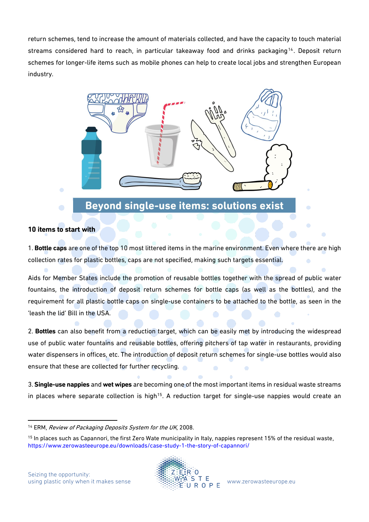return schemes, tend to increase the amount of materials collected, and have the capacity to touch material streams considered hard to reach, in particular takeaway food and drinks packaging<sup>14</sup>. Deposit return schemes for longer-life items such as mobile phones can help to create local jobs and strengthen European industry.



# Beyond single-use items: solutions exist

# **10 items to start with**

1. **Bottle caps** are one of the top 10 most littered items in the marine environment. Even where there are high collection rates for plastic bottles, caps are not specified, making such targets essential.

Aids for Member States include the promotion of reusable bottles together with the spread of public water fountains, the introduction of deposit return schemes for bottle caps (as well as the bottles), and the requirement for all plastic bottle caps on single-use containers to be attached to the bottle, as seen in the 'leash the lid' Bill in the USA.

2. **Bottles** can also benefit from a reduction target, which can be easily met by introducing the widespread use of public water fountains and reusable bottles, offering pitchers of tap water in restaurants, providing water dispensers in offices, etc. The introduction of deposit return schemes for single-use bottles would also ensure that these are collected for further recycling.

3. **Single-use nappies** and **wet wipes** are becoming one of the most important items in residual waste streams in places where separate collection is high<sup>15</sup>. A reduction target for single-use nappies would create an



l <sup>14</sup> ERM, Review of Packaging Deposits System for the UK, 2008.

<sup>&</sup>lt;sup>15</sup> In places such as Capannori, the first Zero Wate municipality in Italy, nappies represent 15% of the residual waste, https://www.zerowasteeurope.eu/downloads/case-study-1-the-story-of-capannori/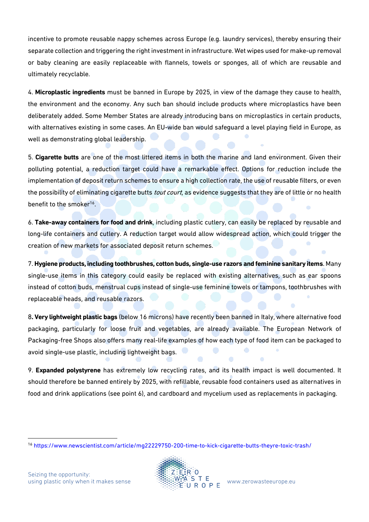incentive to promote reusable nappy schemes across Europe (e.g. laundry services), thereby ensuring their separate collection and triggering the right investment in infrastructure. Wet wipes used for make-up removal or baby cleaning are easily replaceable with flannels, towels or sponges, all of which are reusable and ultimately recyclable.

4. **Microplastic ingredients** must be banned in Europe by 2025, in view of the damage they cause to health, the environment and the economy. Any such ban should include products where microplastics have been deliberately added. Some Member States are already introducing bans on microplastics in certain products, with alternatives existing in some cases. An EU-wide ban would safeguard a level playing field in Europe, as well as demonstrating global leadership.

5. **Cigarette butts** are one of the most littered items in both the marine and land environment. Given their polluting potential, a reduction target could have a remarkable effect. Options for reduction include the implementation of deposit return schemes to ensure a high collection rate, the use of reusable filters, or even the possibility of eliminating cigarette butts *tout court*, as evidence suggests that they are of little or no health benefit to the smoker<sup>16</sup>.

6. **Take-away containers for food and drink**, including plastic cutlery, can easily be replaced by reusable and long-life containers and cutlery. A reduction target would allow widespread action, which could trigger the creation of new markets for associated deposit return schemes.

7. **Hygiene products, including toothbrushes, cotton buds, single-use razors and feminine sanitary items**. Many single-use items in this category could easily be replaced with existing alternatives, such as ear spoons instead of cotton buds, menstrual cups instead of single-use feminine towels or tampons, toothbrushes with replaceable heads, and reusable razors.

8**. Very lightweight plastic bags** (below 16 microns) have recently been banned in Italy, where alternative food packaging, particularly for loose fruit and vegetables, are already available. The European Network of Packaging-free Shops also offers many real-life examples of how each type of food item can be packaged to avoid single-use plastic, including lightweight bags.

9. **Expanded polystyrene** has extremely low recycling rates, and its health impact is well documented. It should therefore be banned entirely by 2025, with refillable, reusable food containers used as alternatives in food and drink applications (see point 6), and cardboard and mycelium used as replacements in packaging.



 $\overline{a}$ <sup>16</sup> https://www.newscientist.com/article/mg22229750-200-time-to-kick-cigarette-butts-theyre-toxic-trash/